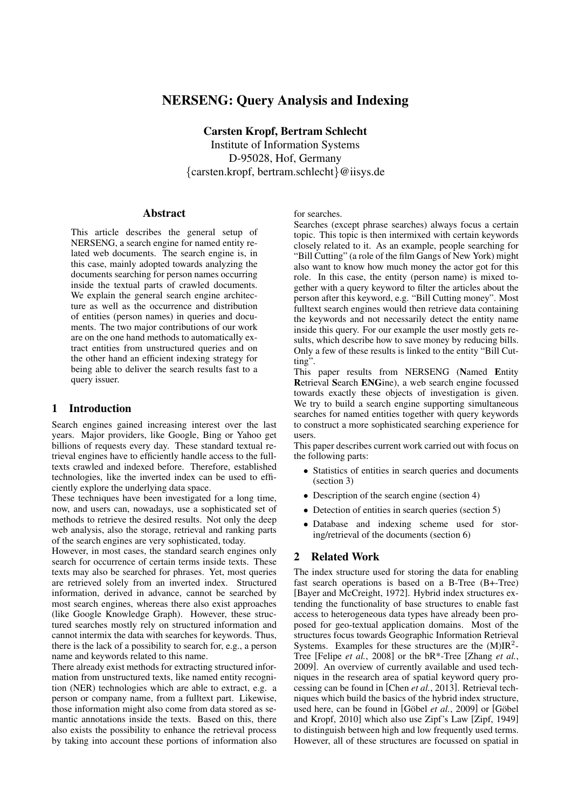# NERSENG: Query Analysis and Indexing

Carsten Kropf, Bertram Schlecht

Institute of Information Systems D-95028, Hof, Germany {carsten.kropf, bertram.schlecht}@iisys.de

#### Abstract

This article describes the general setup of NERSENG, a search engine for named entity related web documents. The search engine is, in this case, mainly adopted towards analyzing the documents searching for person names occurring inside the textual parts of crawled documents. We explain the general search engine architecture as well as the occurrence and distribution of entities (person names) in queries and documents. The two major contributions of our work are on the one hand methods to automatically extract entities from unstructured queries and on the other hand an efficient indexing strategy for being able to deliver the search results fast to a query issuer.

#### 1 Introduction

Search engines gained increasing interest over the last years. Major providers, like Google, Bing or Yahoo get billions of requests every day. These standard textual retrieval engines have to efficiently handle access to the fulltexts crawled and indexed before. Therefore, established technologies, like the inverted index can be used to efficiently explore the underlying data space.

These techniques have been investigated for a long time, now, and users can, nowadays, use a sophisticated set of methods to retrieve the desired results. Not only the deep web analysis, also the storage, retrieval and ranking parts of the search engines are very sophisticated, today.

However, in most cases, the standard search engines only search for occurrence of certain terms inside texts. These texts may also be searched for phrases. Yet, most queries are retrieved solely from an inverted index. Structured information, derived in advance, cannot be searched by most search engines, whereas there also exist approaches (like Google Knowledge Graph). However, these structured searches mostly rely on structured information and cannot intermix the data with searches for keywords. Thus, there is the lack of a possibility to search for, e.g., a person name and keywords related to this name.

There already exist methods for extracting structured information from unstructured texts, like named entity recognition (NER) technologies which are able to extract, e.g. a person or company name, from a fulltext part. Likewise, those information might also come from data stored as semantic annotations inside the texts. Based on this, there also exists the possibility to enhance the retrieval process by taking into account these portions of information also

#### for searches.

Searches (except phrase searches) always focus a certain topic. This topic is then intermixed with certain keywords closely related to it. As an example, people searching for "Bill Cutting" (a role of the film Gangs of New York) might also want to know how much money the actor got for this role. In this case, the entity (person name) is mixed together with a query keyword to filter the articles about the person after this keyword, e.g. "Bill Cutting money". Most fulltext search engines would then retrieve data containing the keywords and not necessarily detect the entity name inside this query. For our example the user mostly gets results, which describe how to save money by reducing bills. Only a few of these results is linked to the entity "Bill Cutting".

This paper results from NERSENG (Named Entity Retrieval Search ENGine), a web search engine focussed towards exactly these objects of investigation is given. We try to build a search engine supporting simultaneous searches for named entities together with query keywords to construct a more sophisticated searching experience for users.

This paper describes current work carried out with focus on the following parts:

- Statistics of entities in search queries and documents (section 3)
- Description of the search engine (section 4)
- Detection of entities in search queries (section 5)
- Database and indexing scheme used for storing/retrieval of the documents (section 6)

### 2 Related Work

The index structure used for storing the data for enabling fast search operations is based on a B-Tree (B+-Tree) [Bayer and McCreight, 1972]. Hybrid index structures extending the functionality of base structures to enable fast access to heterogeneous data types have already been proposed for geo-textual application domains. Most of the structures focus towards Geographic Information Retrieval Systems. Examples for these structures are the  $(M)IR<sup>2</sup>$ -Tree [Felipe *et al.*, 2008] or the bR\*-Tree [Zhang *et al.*, 2009]. An overview of currently available and used techniques in the research area of spatial keyword query processing can be found in [Chen *et al.*, 2013]. Retrieval techniques which build the basics of the hybrid index structure, used here, can be found in [Göbel et al., 2009] or [Göbel and Kropf, 2010] which also use Zipf's Law [Zipf, 1949] to distinguish between high and low frequently used terms. However, all of these structures are focussed on spatial in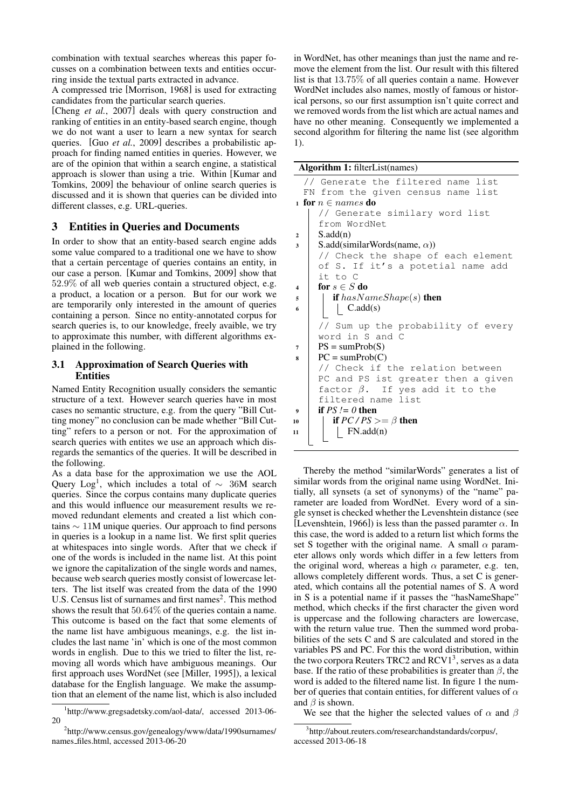combination with textual searches whereas this paper focusses on a combination between texts and entities occurring inside the textual parts extracted in advance.

A compressed trie [Morrison, 1968] is used for extracting candidates from the particular search queries.

[Cheng *et al.*, 2007] deals with query construction and ranking of entities in an entity-based search engine, though we do not want a user to learn a new syntax for search queries. [Guo *et al.*, 2009] describes a probabilistic approach for finding named entities in queries. However, we are of the opinion that within a search engine, a statistical approach is slower than using a trie. Within [Kumar and Tomkins, 2009] the behaviour of online search queries is discussed and it is shown that queries can be divided into different classes, e.g. URL-queries.

## 3 Entities in Queries and Documents

In order to show that an entity-based search engine adds some value compared to a traditional one we have to show that a certain percentage of queries contains an entity, in our case a person. [Kumar and Tomkins, 2009] show that 52.9% of all web queries contain a structured object, e.g. a product, a location or a person. But for our work we are temporarily only interested in the amount of queries containing a person. Since no entity-annotated corpus for search queries is, to our knowledge, freely avaible, we try to approximate this number, with different algorithms explained in the following.

### 3.1 Approximation of Search Queries with Entities

Named Entity Recognition usually considers the semantic structure of a text. However search queries have in most cases no semantic structure, e.g. from the query "Bill Cutting money" no conclusion can be made whether "Bill Cutting" refers to a person or not. For the approximation of search queries with entites we use an approach which disregards the semantics of the queries. It will be described in the following.

As a data base for the approximation we use the AOL Query Log<sup>1</sup>, which includes a total of  $\sim$  36M search queries. Since the corpus contains many duplicate queries and this would influence our measurement results we removed redundant elements and created a list which contains ∼ 11M unique queries. Our approach to find persons in queries is a lookup in a name list. We first split queries at whitespaces into single words. After that we check if one of the words is included in the name list. At this point we ignore the capitalization of the single words and names, because web search queries mostly consist of lowercase letters. The list itself was created from the data of the 1990 U.S. Census list of surnames and first names<sup>2</sup>. This method shows the result that 50.64% of the queries contain a name. This outcome is based on the fact that some elements of the name list have ambiguous meanings, e.g. the list includes the last name 'in' which is one of the most common words in english. Due to this we tried to filter the list, removing all words which have ambiguous meanings. Our first approach uses WordNet (see [Miller, 1995]), a lexical database for the English language. We make the assumption that an element of the name list, which is also included

in WordNet, has other meanings than just the name and remove the element from the list. Our result with this filtered list is that 13.75% of all queries contain a name. However WordNet includes also names, mostly of famous or historical persons, so our first assumption isn't quite correct and we removed words from the list which are actual names and have no other meaning. Consequently we implemented a second algorithm for filtering the name list (see algorithm 1).

```
Algorithm 1: filterList(names)
```

```
Generate the filtered name list
  FN from the given census name list
1 for n \in names do
     // Generate similary word list
     from WordNet
2 \mid S.add(n)
\mathsf{s} S.add(similarWords(name, \alpha))
     // Check the shape of each element
     of S. If it's a potetial name add
     it to C
4 for s \in S do
\mathfrak{s} | if hasNameShape(s) then
\bullet | | C.add(s)
     // Sum up the probability of every
     word in S and C
7 \mid PS = sumProb(S)\text{8} | PC = sumProb(C)
     // Check if the relation between
     PC and PS ist greater then a given
     factor \beta. If yes add it to the
     filtered name list
\bullet if PS != 0 then
10 if PC/PS \geq \beta then
11 | FN.add(n)
```
Thereby the method "similarWords" generates a list of similar words from the original name using WordNet. Initially, all synsets (a set of synonyms) of the "name" parameter are loaded from WordNet. Every word of a single synset is checked whether the Levenshtein distance (see [Levenshtein, 1966]) is less than the passed paramter  $\alpha$ . In this case, the word is added to a return list which forms the set S together with the original name. A small  $\alpha$  parameter allows only words which differ in a few letters from the original word, whereas a high  $\alpha$  parameter, e.g. ten, allows completely different words. Thus, a set C is generated, which contains all the potential names of S. A word in S is a potential name if it passes the "hasNameShape" method, which checks if the first character the given word is uppercase and the following characters are lowercase, with the return value true. Then the summed word probabilities of the sets C and S are calculated and stored in the variables PS and PC. For this the word distribution, within the two corpora Reuters TRC2 and RCV1<sup>3</sup>, serves as a data base. If the ratio of these probabilities is greater than  $\beta$ , the word is added to the filtered name list. In figure 1 the number of queries that contain entities, for different values of  $\alpha$ and  $\beta$  is shown.

We see that the higher the selected values of  $\alpha$  and  $\beta$ 

<sup>1</sup> http://www.gregsadetsky.com/aol-data/, accessed 2013-06- 20

<sup>&</sup>lt;sup>2</sup>http://www.census.gov/genealogy/www/data/1990surnames/ names files.html, accessed 2013-06-20

<sup>3</sup> http://about.reuters.com/researchandstandards/corpus/, accessed 2013-06-18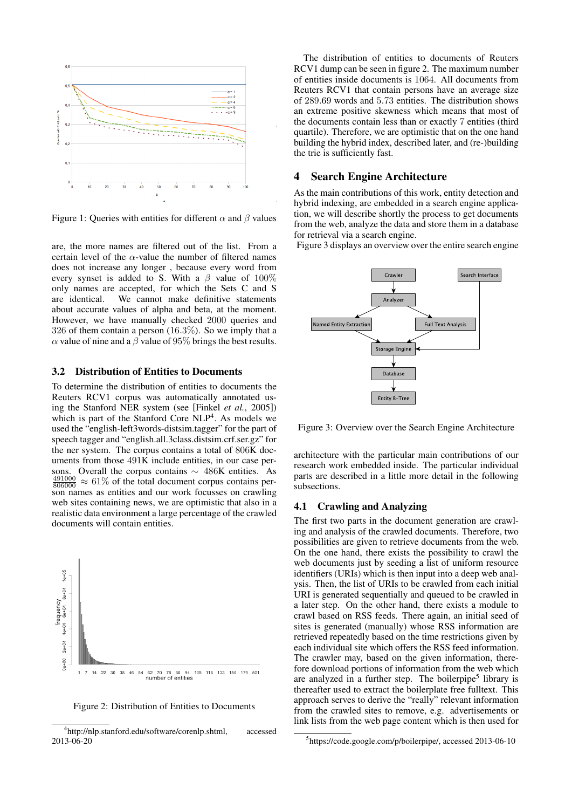

Figure 1: Queries with entities for different  $\alpha$  and  $\beta$  values

are, the more names are filtered out of the list. From a certain level of the  $\alpha$ -value the number of filtered names does not increase any longer , because every word from every synset is added to S. With a  $\beta$  value of 100% only names are accepted, for which the Sets C and S are identical. We cannot make definitive statements about accurate values of alpha and beta, at the moment. However, we have manually checked 2000 queries and 326 of them contain a person (16.3%). So we imply that a  $\alpha$  value of nine and a  $\beta$  value of 95% brings the best results.

#### 3.2 Distribution of Entities to Documents

To determine the distribution of entities to documents the Reuters RCV1 corpus was automatically annotated using the Stanford NER system (see [Finkel *et al.*, 2005]) which is part of the Stanford Core  $NLP<sup>4</sup>$ . As models we used the "english-left3words-distsim.tagger" for the part of speech tagger and "english.all.3class.distsim.crf.ser.gz" for the ner system. The corpus contains a total of 806K documents from those 491K include entities, in our case persons. Overall the corpus contains  $\sim$  486K entities. As  $\frac{491000}{806000} \approx 61\%$  of the total document corpus contains person names as entities and our work focusses on crawling web sites containing news, we are optimistic that also in a realistic data environment a large percentage of the crawled documents will contain entities.



Figure 2: Distribution of Entities to Documents

The distribution of entities to documents of Reuters RCV1 dump can be seen in figure 2. The maximum number of entities inside documents is 1064. All documents from Reuters RCV1 that contain persons have an average size of 289.69 words and 5.73 entities. The distribution shows an extreme positive skewness which means that most of the documents contain less than or exactly 7 entities (third quartile). Therefore, we are optimistic that on the one hand building the hybrid index, described later, and (re-)building the trie is sufficiently fast.

#### 4 Search Engine Architecture

As the main contributions of this work, entity detection and hybrid indexing, are embedded in a search engine application, we will describe shortly the process to get documents from the web, analyze the data and store them in a database for retrieval via a search engine.

Figure 3 displays an overview over the entire search engine



Figure 3: Overview over the Search Engine Architecture

architecture with the particular main contributions of our research work embedded inside. The particular individual parts are described in a little more detail in the following subsections.

#### 4.1 Crawling and Analyzing

The first two parts in the document generation are crawling and analysis of the crawled documents. Therefore, two possibilities are given to retrieve documents from the web. On the one hand, there exists the possibility to crawl the web documents just by seeding a list of uniform resource identifiers (URIs) which is then input into a deep web analysis. Then, the list of URIs to be crawled from each initial URI is generated sequentially and queued to be crawled in a later step. On the other hand, there exists a module to crawl based on RSS feeds. There again, an initial seed of sites is generated (manually) whose RSS information are retrieved repeatedly based on the time restrictions given by each individual site which offers the RSS feed information. The crawler may, based on the given information, therefore download portions of information from the web which are analyzed in a further step. The boilerpipe<sup>5</sup> library is thereafter used to extract the boilerplate free fulltext. This approach serves to derive the "really" relevant information from the crawled sites to remove, e.g. advertisements or link lists from the web page content which is then used for

<sup>4</sup> http://nlp.stanford.edu/software/corenlp.shtml, accessed 2013-06-20

<sup>5</sup> https://code.google.com/p/boilerpipe/, accessed 2013-06-10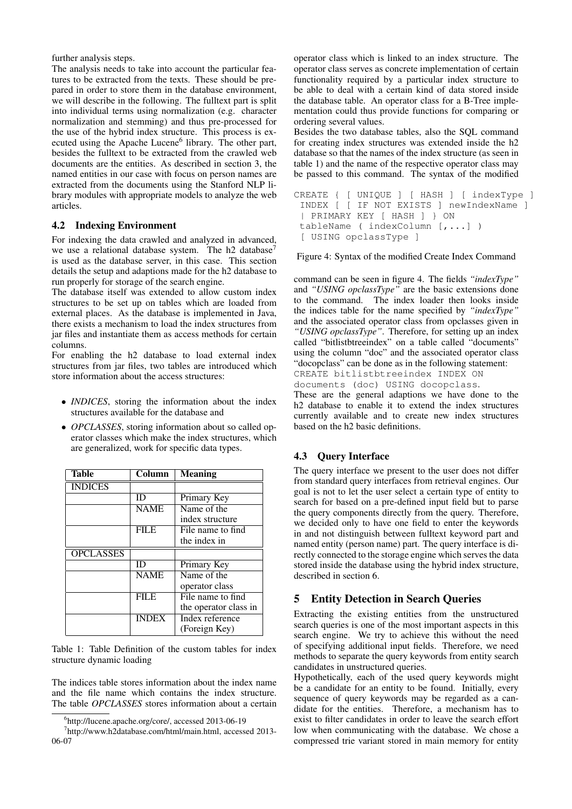further analysis steps.

The analysis needs to take into account the particular features to be extracted from the texts. These should be prepared in order to store them in the database environment, we will describe in the following. The fulltext part is split into individual terms using normalization (e.g. character normalization and stemming) and thus pre-processed for the use of the hybrid index structure. This process is executed using the Apache Lucene<sup>6</sup> library. The other part, besides the fulltext to be extracted from the crawled web documents are the entities. As described in section 3, the named entities in our case with focus on person names are extracted from the documents using the Stanford NLP library modules with appropriate models to analyze the web articles.

### 4.2 Indexing Environment

For indexing the data crawled and analyzed in advanced, we use a relational database system. The h2 database<sup>7</sup> is used as the database server, in this case. This section details the setup and adaptions made for the h2 database to run properly for storage of the search engine.

The database itself was extended to allow custom index structures to be set up on tables which are loaded from external places. As the database is implemented in Java, there exists a mechanism to load the index structures from jar files and instantiate them as access methods for certain columns.

For enabling the h2 database to load external index structures from jar files, two tables are introduced which store information about the access structures:

- *INDICES*, storing the information about the index structures available for the database and
- *OPCLASSES*, storing information about so called operator classes which make the index structures, which are generalized, work for specific data types.

| Table            | Column       | <b>Meaning</b>        |
|------------------|--------------|-----------------------|
| <b>INDICES</b>   |              |                       |
|                  | ID           | Primary Key           |
|                  | <b>NAME</b>  | Name of the           |
|                  |              | index structure       |
|                  | <b>FILE</b>  | File name to find     |
|                  |              | the index in          |
| <b>OPCLASSES</b> |              |                       |
|                  | ID           | Primary Key           |
|                  | <b>NAME</b>  | Name of the           |
|                  |              | operator class        |
|                  | <b>FILE</b>  | File name to find     |
|                  |              | the operator class in |
|                  | <b>INDEX</b> | Index reference       |
|                  |              | (Foreign Key)         |

Table 1: Table Definition of the custom tables for index structure dynamic loading

The indices table stores information about the index name and the file name which contains the index structure. The table *OPCLASSES* stores information about a certain operator class which is linked to an index structure. The operator class serves as concrete implementation of certain functionality required by a particular index structure to be able to deal with a certain kind of data stored inside the database table. An operator class for a B-Tree implementation could thus provide functions for comparing or ordering several values.

Besides the two database tables, also the SQL command for creating index structures was extended inside the h2 database so that the names of the index structure (as seen in table 1) and the name of the respective operator class may be passed to this command. The syntax of the modified

```
CREATE { [ UNIQUE ] [ HASH ] [ indexType ]
 INDEX [ [ IF NOT EXISTS ] newIndexName ]
 | PRIMARY KEY [ HASH ] } ON
 tableName ( indexColumn [,...] )
 [ USING opclassType ]
```
Figure 4: Syntax of the modified Create Index Command

command can be seen in figure 4. The fields *"indexType"* and *"USING opclassType"* are the basic extensions done to the command. The index loader then looks inside the indices table for the name specified by *"indexType"* and the associated operator class from opclasses given in *"USING opclassType"*. Therefore, for setting up an index called "bitlistbtreeindex" on a table called "documents" using the column "doc" and the associated operator class "docopclass" can be done as in the following statement: CREATE bitlistbtreeindex INDEX ON documents (doc) USING docopclass.

These are the general adaptions we have done to the h2 database to enable it to extend the index structures currently available and to create new index structures based on the h2 basic definitions.

## 4.3 Query Interface

The query interface we present to the user does not differ from standard query interfaces from retrieval engines. Our goal is not to let the user select a certain type of entity to search for based on a pre-defined input field but to parse the query components directly from the query. Therefore, we decided only to have one field to enter the keywords in and not distinguish between fulltext keyword part and named entity (person name) part. The query interface is directly connected to the storage engine which serves the data stored inside the database using the hybrid index structure, described in section 6.

## 5 Entity Detection in Search Queries

Extracting the existing entities from the unstructured search queries is one of the most important aspects in this search engine. We try to achieve this without the need of specifying additional input fields. Therefore, we need methods to separate the query keywords from entity search candidates in unstructured queries.

Hypothetically, each of the used query keywords might be a candidate for an entity to be found. Initially, every sequence of query keywords may be regarded as a candidate for the entities. Therefore, a mechanism has to exist to filter candidates in order to leave the search effort low when communicating with the database. We chose a compressed trie variant stored in main memory for entity

<sup>6</sup> http://lucene.apache.org/core/, accessed 2013-06-19

<sup>7</sup> http://www.h2database.com/html/main.html, accessed 2013- 06-07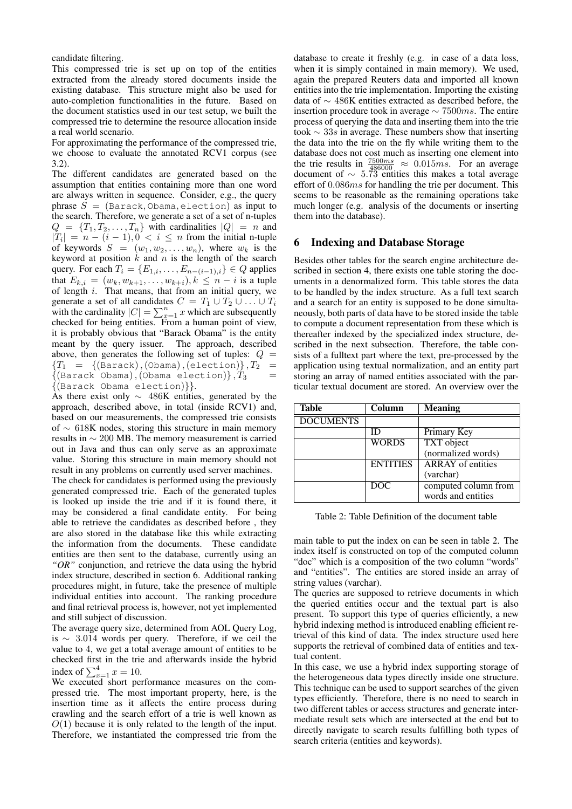candidate filtering.

This compressed trie is set up on top of the entities extracted from the already stored documents inside the existing database. This structure might also be used for auto-completion functionalities in the future. Based on the document statistics used in our test setup, we built the compressed trie to determine the resource allocation inside a real world scenario.

For approximating the performance of the compressed trie, we choose to evaluate the annotated RCV1 corpus (see 3.2).

The different candidates are generated based on the assumption that entities containing more than one word are always written in sequence. Consider, e.g., the query phrase  $S = (Barack, Obama, electron)$  as input to the search. Therefore, we generate a set of a set of n-tuples  $Q = \{T_1, T_2, \ldots, T_n\}$  with cardinalities  $|Q| = n$  and  $|T_i| = n - (i - 1), 0 < i \leq n$  from the initial n-tuple of keywords  $S = (w_1, w_2, \dots, w_n)$ , where  $w_k$  is the keyword at position  $k$  and  $n$  is the length of the search query. For each  $T_i = \{E_{1,i}, \ldots, E_{n-(i-1),i}\}\in Q$  applies that  $E_{k,i} = (w_k, w_{k+1}, \ldots, w_{k+i}), k \leq n-i$  is a tuple of length  $i$ . That means, that from an initial query, we generate a set of all candidates  $C = T_1 \cup T_2 \cup \ldots \cup T_i$ with the cardinality  $|C| = \sum_{x=1}^{n} x$  which are subsequently checked for being entities. From a human point of view, it is probably obvious that "Barack Obama" is the entity meant by the query issuer. The approach, described above, then generates the following set of tuples:  $Q =$  ${T_1 = \{(\text{Barack}),(\text{Obama}),(\text{electron})\}, T_2 =}$  $\{(\texttt{Barack}\space \texttt{Obama}), (\texttt{Obama}\space \texttt{electron})\}, T_3$ {(Barack Obama election)}}.

As there exist only ∼ 486K entities, generated by the approach, described above, in total (inside RCV1) and, based on our measurements, the compressed trie consists of ∼ 618K nodes, storing this structure in main memory results in ∼ 200 MB. The memory measurement is carried out in Java and thus can only serve as an approximate value. Storing this structure in main memory should not result in any problems on currently used server machines.

The check for candidates is performed using the previously generated compressed trie. Each of the generated tuples is looked up inside the trie and if it is found there, it may be considered a final candidate entity. For being able to retrieve the candidates as described before , they are also stored in the database like this while extracting the information from the documents. These candidate entities are then sent to the database, currently using an *"OR"* conjunction, and retrieve the data using the hybrid index structure, described in section 6. Additional ranking procedures might, in future, take the presence of multiple individual entities into account. The ranking procedure and final retrieval process is, however, not yet implemented and still subject of discussion.

The average query size, determined from AOL Query Log, is ∼ 3.014 words per query. Therefore, if we ceil the value to 4, we get a total average amount of entities to be checked first in the trie and afterwards inside the hybrid index of  $\sum_{x=1}^{4} x = 10$ .

We executed short performance measures on the compressed trie. The most important property, here, is the insertion time as it affects the entire process during crawling and the search effort of a trie is well known as  $O(1)$  because it is only related to the length of the input. Therefore, we instantiated the compressed trie from the database to create it freshly (e.g. in case of a data loss, when it is simply contained in main memory). We used, again the prepared Reuters data and imported all known entities into the trie implementation. Importing the existing data of ∼ 486K entities extracted as described before, the insertion procedure took in average  $\sim$  7500 $ms$ . The entire process of querying the data and inserting them into the trie took  $\sim$  33s in average. These numbers show that inserting the data into the trie on the fly while writing them to the database does not cost much as inserting one element into the trie results in  $\frac{7500ms}{486000} \approx 0.015ms$ . For an average document of  $\sim 5.73$  entities this makes a total average effort of 0.086ms for handling the trie per document. This seems to be reasonable as the remaining operations take much longer (e.g. analysis of the documents or inserting them into the database).

### 6 Indexing and Database Storage

Besides other tables for the search engine architecture described in section 4, there exists one table storing the documents in a denormalized form. This table stores the data to be handled by the index structure. As a full text search and a search for an entity is supposed to be done simultaneously, both parts of data have to be stored inside the table to compute a document representation from these which is thereafter indexed by the specialized index structure, described in the next subsection. Therefore, the table consists of a fulltext part where the text, pre-processed by the application using textual normalization, and an entity part storing an array of named entities associated with the particular textual document are stored. An overview over the

| <b>Table</b>     | Column          | <b>Meaning</b>           |
|------------------|-----------------|--------------------------|
| <b>DOCUMENTS</b> |                 |                          |
|                  |                 | Primary Key              |
|                  | <b>WORDS</b>    | <b>TXT</b> object        |
|                  |                 | (normalized words)       |
|                  | <b>ENTITIES</b> | <b>ARRAY</b> of entities |
|                  |                 | (varchar)                |
|                  | DOC             | computed column from     |
|                  |                 | words and entities       |

Table 2: Table Definition of the document table

main table to put the index on can be seen in table 2. The index itself is constructed on top of the computed column "doc" which is a composition of the two column "words" and "entities". The entities are stored inside an array of string values (varchar).

The queries are supposed to retrieve documents in which the queried entities occur and the textual part is also present. To support this type of queries efficiently, a new hybrid indexing method is introduced enabling efficient retrieval of this kind of data. The index structure used here supports the retrieval of combined data of entities and textual content.

In this case, we use a hybrid index supporting storage of the heterogeneous data types directly inside one structure. This technique can be used to support searches of the given types efficiently. Therefore, there is no need to search in two different tables or access structures and generate intermediate result sets which are intersected at the end but to directly navigate to search results fulfilling both types of search criteria (entities and keywords).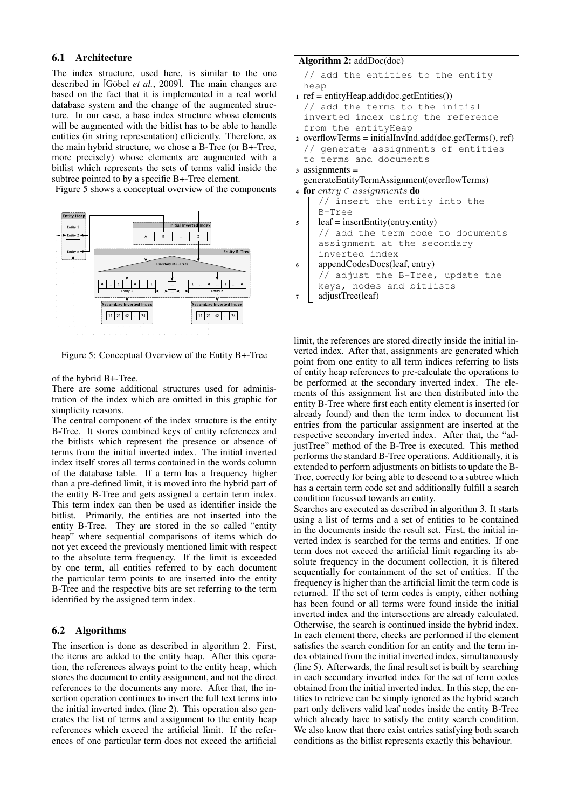### 6.1 Architecture

The index structure, used here, is similar to the one described in [Göbel *et al.*, 2009]. The main changes are based on the fact that it is implemented in a real world database system and the change of the augmented structure. In our case, a base index structure whose elements will be augmented with the bitlist has to be able to handle entities (in string representation) efficiently. Therefore, as the main hybrid structure, we chose a B-Tree (or B+-Tree, more precisely) whose elements are augmented with a bitlist which represents the sets of terms valid inside the subtree pointed to by a specific B+-Tree element.

Figure 5 shows a conceptual overview of the components



Figure 5: Conceptual Overview of the Entity B+-Tree

of the hybrid B+-Tree.

There are some additional structures used for administration of the index which are omitted in this graphic for simplicity reasons.

The central component of the index structure is the entity B-Tree. It stores combined keys of entity references and the bitlists which represent the presence or absence of terms from the initial inverted index. The initial inverted index itself stores all terms contained in the words column of the database table. If a term has a frequency higher than a pre-defined limit, it is moved into the hybrid part of the entity B-Tree and gets assigned a certain term index. This term index can then be used as identifier inside the bitlist. Primarily, the entities are not inserted into the entity B-Tree. They are stored in the so called "entity heap" where sequential comparisons of items which do not yet exceed the previously mentioned limit with respect to the absolute term frequency. If the limit is exceeded by one term, all entities referred to by each document the particular term points to are inserted into the entity B-Tree and the respective bits are set referring to the term identified by the assigned term index.

### 6.2 Algorithms

The insertion is done as described in algorithm 2. First, the items are added to the entity heap. After this operation, the references always point to the entity heap, which stores the document to entity assignment, and not the direct references to the documents any more. After that, the insertion operation continues to insert the full text terms into the initial inverted index (line 2). This operation also generates the list of terms and assignment to the entity heap references which exceed the artificial limit. If the references of one particular term does not exceed the artificial

### Algorithm 2: addDoc(doc)

```
add the entities to the entity
heap
```
- $_1$  ref = entityHeap.add(doc.getEntities()) // add the terms to the initial inverted index using the reference from the entityHeap
- <sup>2</sup> overflowTerms = initialInvInd.add(doc.getTerms(), ref) // generate assignments of entities to terms and documents
- <sup>3</sup> assignments =
- generateEntityTermAssignment(overflowTerms) 4 for entry  $\in$  assignments do
	- // insert the entity into the B-Tree
- $5$  leaf = insertEntity(entry.entity) // add the term code to documents assignment at the secondary inverted index
- <sup>6</sup> appendCodesDocs(leaf, entry) // adjust the B-Tree, update the keys, nodes and bitlists
- <sup>7</sup> adjustTree(leaf)

limit, the references are stored directly inside the initial inverted index. After that, assignments are generated which point from one entity to all term indices referring to lists of entity heap references to pre-calculate the operations to be performed at the secondary inverted index. The elements of this assignment list are then distributed into the entity B-Tree where first each entity element is inserted (or already found) and then the term index to document list entries from the particular assignment are inserted at the respective secondary inverted index. After that, the "adjustTree" method of the B-Tree is executed. This method performs the standard B-Tree operations. Additionally, it is extended to perform adjustments on bitlists to update the B-Tree, correctly for being able to descend to a subtree which has a certain term code set and additionally fulfill a search condition focussed towards an entity.

Searches are executed as described in algorithm 3. It starts using a list of terms and a set of entities to be contained in the documents inside the result set. First, the initial inverted index is searched for the terms and entities. If one term does not exceed the artificial limit regarding its absolute frequency in the document collection, it is filtered sequentially for containment of the set of entities. If the frequency is higher than the artificial limit the term code is returned. If the set of term codes is empty, either nothing has been found or all terms were found inside the initial inverted index and the intersections are already calculated. Otherwise, the search is continued inside the hybrid index. In each element there, checks are performed if the element satisfies the search condition for an entity and the term index obtained from the initial inverted index, simultaneously (line 5). Afterwards, the final result set is built by searching in each secondary inverted index for the set of term codes obtained from the initial inverted index. In this step, the entities to retrieve can be simply ignored as the hybrid search part only delivers valid leaf nodes inside the entity B-Tree which already have to satisfy the entity search condition. We also know that there exist entries satisfying both search conditions as the bitlist represents exactly this behaviour.